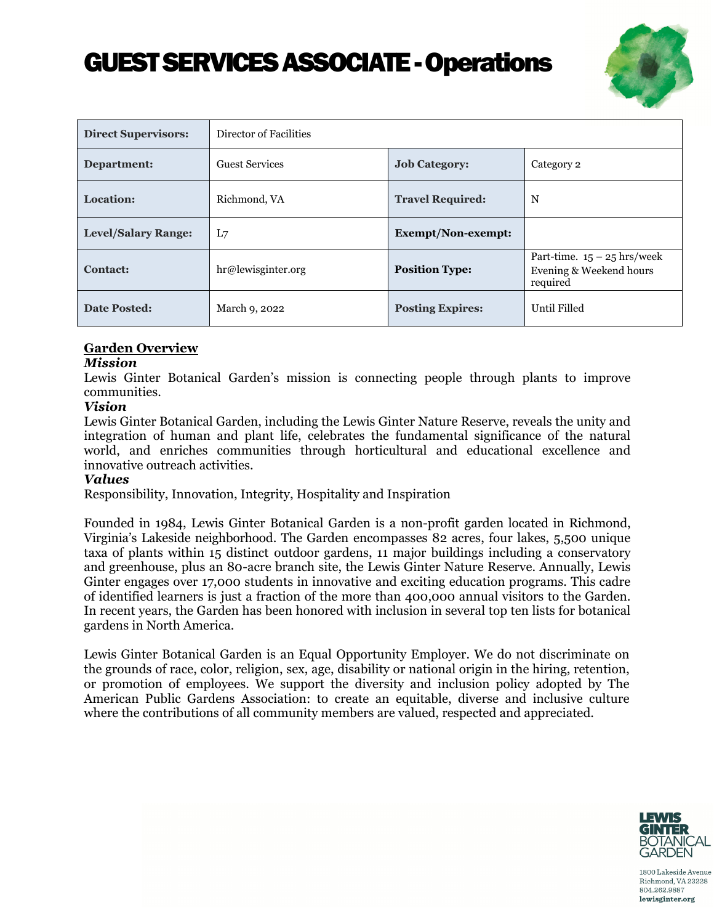# GUEST SERVICES ASSOCIATE - Operations



| <b>Direct Supervisors:</b> | Director of Facilities |                         |                                                                      |
|----------------------------|------------------------|-------------------------|----------------------------------------------------------------------|
| Department:                | <b>Guest Services</b>  | <b>Job Category:</b>    | Category 2                                                           |
| Location:                  | Richmond, VA           | <b>Travel Required:</b> | N                                                                    |
| <b>Level/Salary Range:</b> | L7                     | Exempt/Non-exempt:      |                                                                      |
| Contact:                   | hr@lewisginter.org     | <b>Position Type:</b>   | Part-time. $15 - 25$ hrs/week<br>Evening & Weekend hours<br>required |
| <b>Date Posted:</b>        | March 9, 2022          | <b>Posting Expires:</b> | Until Filled                                                         |

## **Garden Overview**

#### *Mission*

Lewis Ginter Botanical Garden's mission is connecting people through plants to improve communities.

#### *Vision*

Lewis Ginter Botanical Garden, including the Lewis Ginter Nature Reserve, reveals the unity and integration of human and plant life, celebrates the fundamental significance of the natural world, and enriches communities through horticultural and educational excellence and innovative outreach activities.

#### *Values*

Responsibility, Innovation, Integrity, Hospitality and Inspiration

Founded in 1984, Lewis Ginter Botanical Garden is a non-profit garden located in Richmond, Virginia's Lakeside neighborhood. The Garden encompasses 82 acres, four lakes, 5,500 unique taxa of plants within 15 distinct outdoor gardens, 11 major buildings including a conservatory and greenhouse, plus an 80-acre branch site, the Lewis Ginter Nature Reserve. Annually, Lewis Ginter engages over 17,000 students in innovative and exciting education programs. This cadre of identified learners is just a fraction of the more than 400,000 annual visitors to the Garden. In recent years, the Garden has been honored with inclusion in several top ten lists for botanical gardens in North America.

Lewis Ginter Botanical Garden is an Equal Opportunity Employer. We do not discriminate on the grounds of race, color, religion, sex, age, disability or national origin in the hiring, retention, or promotion of employees. We support the diversity and inclusion policy adopted by The American Public Gardens Association: to create an equitable, diverse and inclusive culture where the contributions of all community members are valued, respected and appreciated.

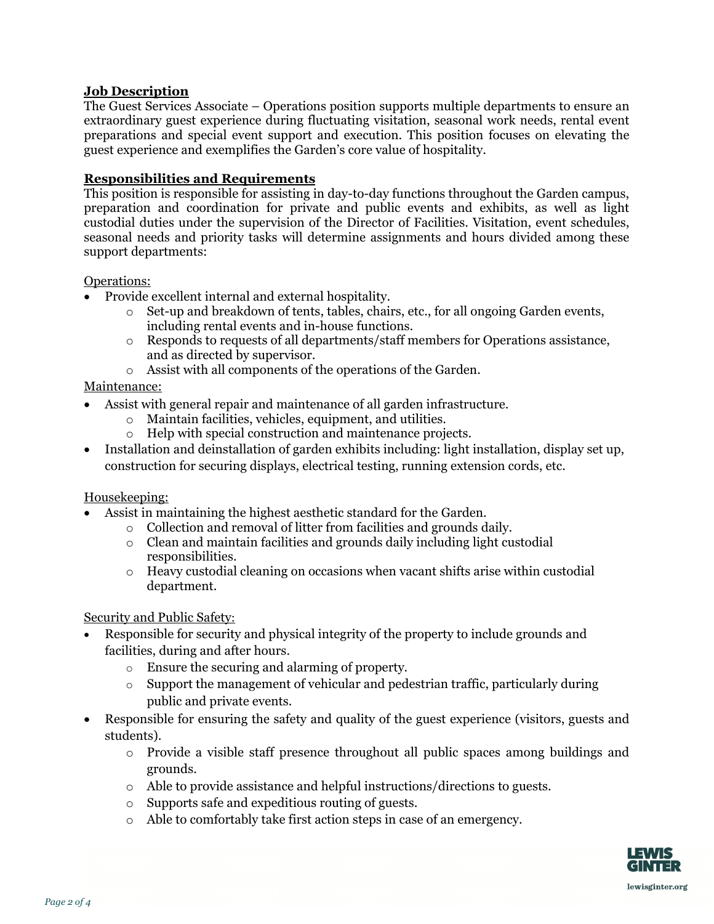## **Job Description**

The Guest Services Associate – Operations position supports multiple departments to ensure an extraordinary guest experience during fluctuating visitation, seasonal work needs, rental event preparations and special event support and execution. This position focuses on elevating the guest experience and exemplifies the Garden's core value of hospitality.

## **Responsibilities and Requirements**

This position is responsible for assisting in day-to-day functions throughout the Garden campus, preparation and coordination for private and public events and exhibits, as well as light custodial duties under the supervision of the Director of Facilities. Visitation, event schedules, seasonal needs and priority tasks will determine assignments and hours divided among these support departments:

#### Operations:

- Provide excellent internal and external hospitality.
	- o Set-up and breakdown of tents, tables, chairs, etc., for all ongoing Garden events, including rental events and in-house functions.
	- o Responds to requests of all departments/staff members for Operations assistance, and as directed by supervisor.
	- o Assist with all components of the operations of the Garden.

## Maintenance:

- Assist with general repair and maintenance of all garden infrastructure.
	- o Maintain facilities, vehicles, equipment, and utilities.
	- o Help with special construction and maintenance projects.
- Installation and deinstallation of garden exhibits including: light installation, display set up, construction for securing displays, electrical testing, running extension cords, etc.

## Housekeeping:

- Assist in maintaining the highest aesthetic standard for the Garden.
	- o Collection and removal of litter from facilities and grounds daily.
	- o Clean and maintain facilities and grounds daily including light custodial responsibilities.
	- $\circ$  Heavy custodial cleaning on occasions when vacant shifts arise within custodial department.

## Security and Public Safety:

- Responsible for security and physical integrity of the property to include grounds and facilities, during and after hours.
	- o Ensure the securing and alarming of property.
	- o Support the management of vehicular and pedestrian traffic, particularly during public and private events.
- Responsible for ensuring the safety and quality of the guest experience (visitors, guests and students).
	- o Provide a visible staff presence throughout all public spaces among buildings and grounds.
	- o Able to provide assistance and helpful instructions/directions to guests.
	- o Supports safe and expeditious routing of guests.
	- o Able to comfortably take first action steps in case of an emergency.

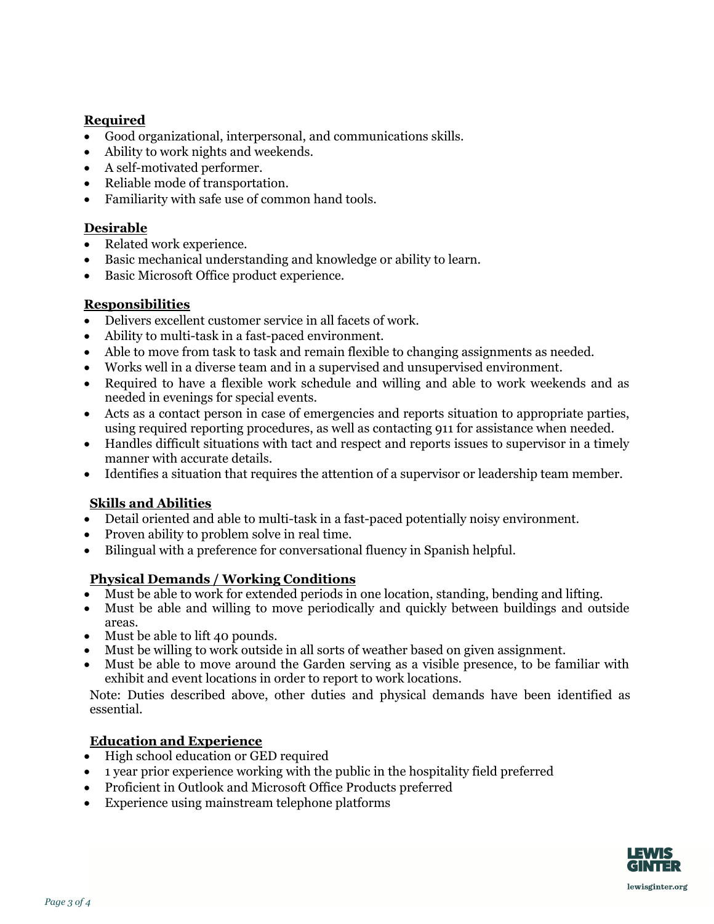# **Required**

- Good organizational, interpersonal, and communications skills.
- Ability to work nights and weekends.
- A self-motivated performer.
- Reliable mode of transportation.
- Familiarity with safe use of common hand tools.

# **Desirable**

- Related work experience.
- Basic mechanical understanding and knowledge or ability to learn.
- Basic Microsoft Office product experience.

## **Responsibilities**

- Delivers excellent customer service in all facets of work.
- Ability to multi-task in a fast-paced environment.
- Able to move from task to task and remain flexible to changing assignments as needed.
- Works well in a diverse team and in a supervised and unsupervised environment.
- Required to have a flexible work schedule and willing and able to work weekends and as needed in evenings for special events.
- Acts as a contact person in case of emergencies and reports situation to appropriate parties, using required reporting procedures, as well as contacting 911 for assistance when needed.
- Handles difficult situations with tact and respect and reports issues to supervisor in a timely manner with accurate details.
- Identifies a situation that requires the attention of a supervisor or leadership team member.

## **Skills and Abilities**

- Detail oriented and able to multi-task in a fast-paced potentially noisy environment.
- Proven ability to problem solve in real time.
- Bilingual with a preference for conversational fluency in Spanish helpful.

# **Physical Demands / Working Conditions**

- Must be able to work for extended periods in one location, standing, bending and lifting.
- Must be able and willing to move periodically and quickly between buildings and outside areas.
- Must be able to lift 40 pounds.
- Must be willing to work outside in all sorts of weather based on given assignment.
- Must be able to move around the Garden serving as a visible presence, to be familiar with exhibit and event locations in order to report to work locations.

Note: Duties described above, other duties and physical demands have been identified as essential.

# **Education and Experience**

- High school education or GED required
- 1 year prior experience working with the public in the hospitality field preferred
- Proficient in Outlook and Microsoft Office Products preferred
- Experience using mainstream telephone platforms